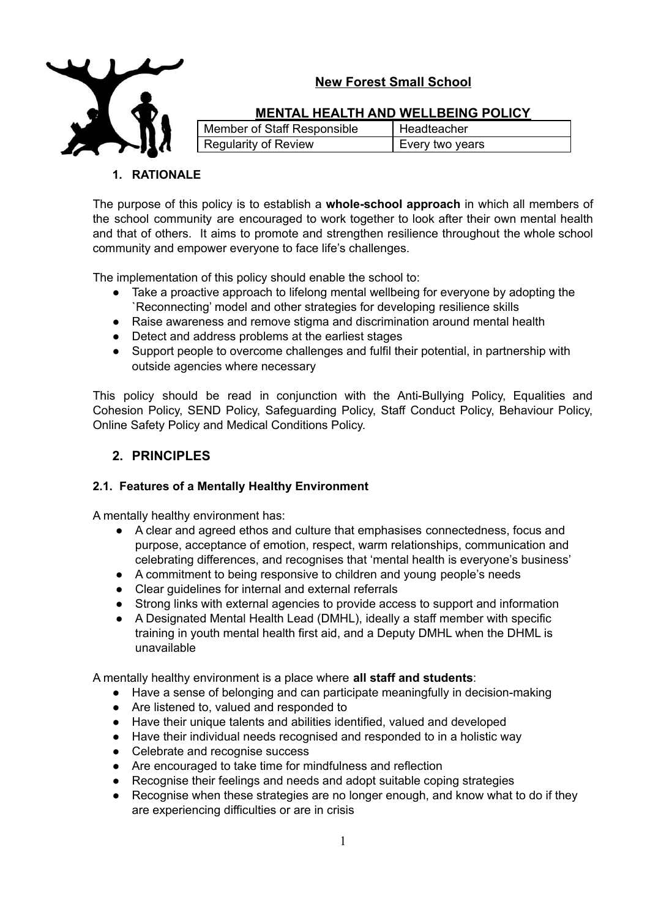



## **MENTAL HEALTH AND WELLBEING POLICY**

| Member of Staff Responsible | I Headteacher   |
|-----------------------------|-----------------|
| <b>Regularity of Review</b> | Every two years |

## **1. RATIONALE**

The purpose of this policy is to establish a **whole-school approach** in which all members of the school community are encouraged to work together to look after their own mental health and that of others. It aims to promote and strengthen resilience throughout the whole school community and empower everyone to face life's challenges.

The implementation of this policy should enable the school to:

- Take a proactive approach to lifelong mental wellbeing for everyone by adopting the `Reconnecting' model and other strategies for developing resilience skills
- Raise awareness and remove stigma and discrimination around mental health
- Detect and address problems at the earliest stages
- Support people to overcome challenges and fulfil their potential, in partnership with outside agencies where necessary

This policy should be read in conjunction with the Anti-Bullying Policy, Equalities and Cohesion Policy, SEND Policy, Safeguarding Policy, Staff Conduct Policy, Behaviour Policy, Online Safety Policy and Medical Conditions Policy.

## **2. PRINCIPLES**

## **2.1. Features of a Mentally Healthy Environment**

A mentally healthy environment has:

- A clear and agreed ethos and culture that emphasises connectedness, focus and purpose, acceptance of emotion, respect, warm relationships, communication and celebrating differences, and recognises that 'mental health is everyone's business'
- A commitment to being responsive to children and young people's needs
- Clear guidelines for internal and external referrals
- Strong links with external agencies to provide access to support and information
- A Designated Mental Health Lead (DMHL), ideally a staff member with specific training in youth mental health first aid, and a Deputy DMHL when the DHML is unavailable

A mentally healthy environment is a place where **all staff and students**:

- Have a sense of belonging and can participate meaningfully in decision-making
- Are listened to, valued and responded to
- Have their unique talents and abilities identified, valued and developed
- Have their individual needs recognised and responded to in a holistic way
- Celebrate and recognise success
- Are encouraged to take time for mindfulness and reflection
- Recognise their feelings and needs and adopt suitable coping strategies
- Recognise when these strategies are no longer enough, and know what to do if they are experiencing difficulties or are in crisis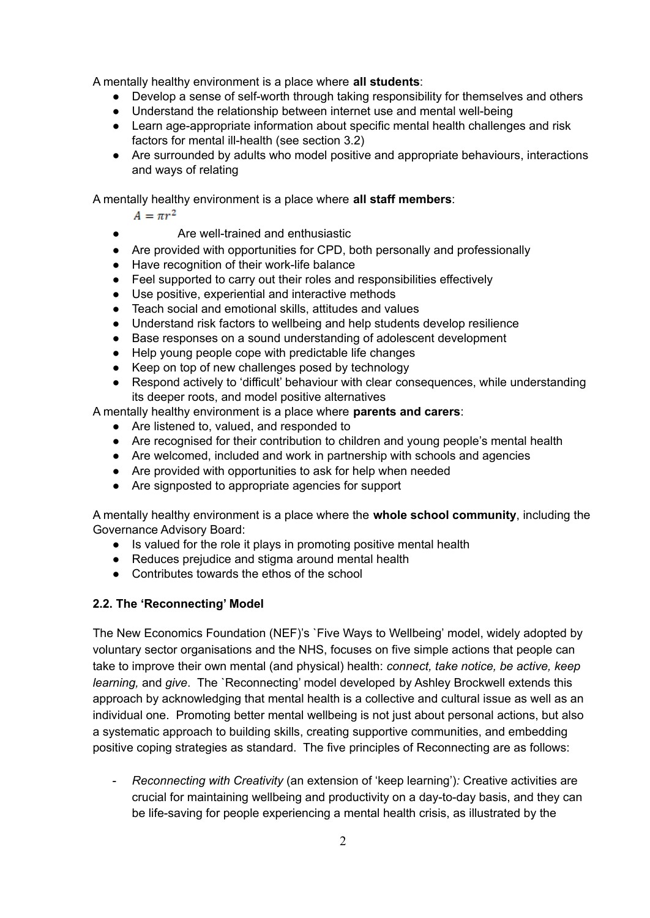A mentally healthy environment is a place where **all students**:

- Develop a sense of self-worth through taking responsibility for themselves and others
- Understand the relationship between internet use and mental well-being
- Learn age-appropriate information about specific mental health challenges and risk factors for mental ill-health (see section 3.2)
- Are surrounded by adults who model positive and appropriate behaviours, interactions and ways of relating

A mentally healthy environment is a place where **all staff members**:

 $A = \pi r^2$ 

- Are well-trained and enthusiastic
- Are provided with opportunities for CPD, both personally and professionally
- Have recognition of their work-life balance
- Feel supported to carry out their roles and responsibilities effectively
- Use positive, experiential and interactive methods
- Teach social and emotional skills, attitudes and values
- Understand risk factors to wellbeing and help students develop resilience
- Base responses on a sound understanding of adolescent development
- Help young people cope with predictable life changes
- Keep on top of new challenges posed by technology
- Respond actively to 'difficult' behaviour with clear consequences, while understanding its deeper roots, and model positive alternatives

A mentally healthy environment is a place where **parents and carers**:

- Are listened to, valued, and responded to
- Are recognised for their contribution to children and young people's mental health
- Are welcomed, included and work in partnership with schools and agencies
- Are provided with opportunities to ask for help when needed
- Are signposted to appropriate agencies for support

A mentally healthy environment is a place where the **whole school community**, including the Governance Advisory Board:

- Is valued for the role it plays in promoting positive mental health
- Reduces prejudice and stigma around mental health
- Contributes towards the ethos of the school

#### **2.2. The 'Reconnecting' Model**

The New Economics Foundation (NEF)'s `Five Ways to Wellbeing' model, widely adopted by voluntary sector organisations and the NHS, focuses on five simple actions that people can take to improve their own mental (and physical) health: *connect, take notice, be active, keep learning,* and *give*. The `Reconnecting' model developed by Ashley Brockwell extends this approach by acknowledging that mental health is a collective and cultural issue as well as an individual one. Promoting better mental wellbeing is not just about personal actions, but also a systematic approach to building skills, creating supportive communities, and embedding positive coping strategies as standard. The five principles of Reconnecting are as follows:

- *Reconnecting with Creativity* (an extension of 'keep learning')*:* Creative activities are crucial for maintaining wellbeing and productivity on a day-to-day basis, and they can be life-saving for people experiencing a mental health crisis, as illustrated by the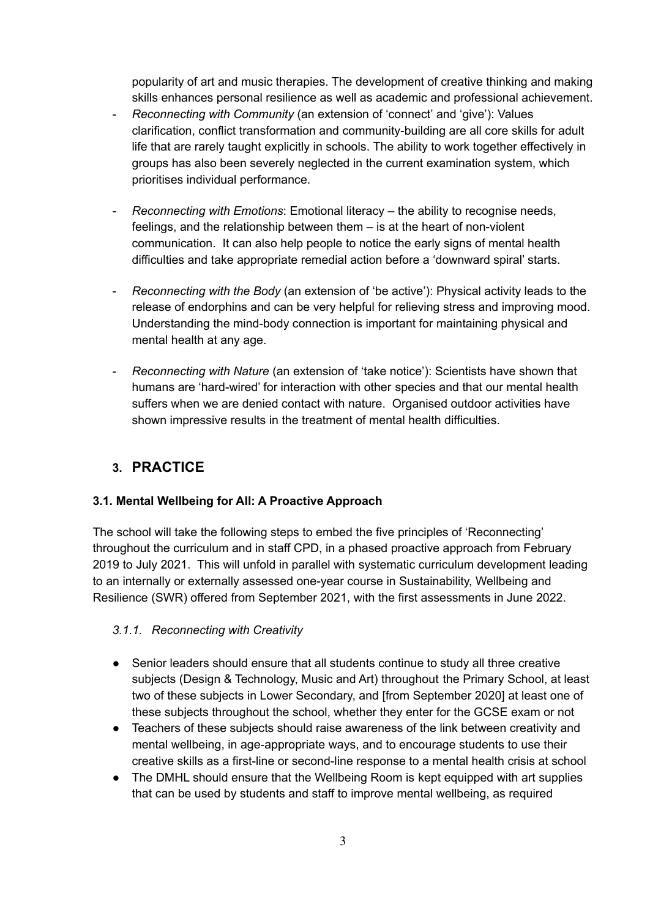popularity of art and music therapies. The development of creative thinking and making skills enhances personal resilience as well as academic and professional achievement.

- *Reconnecting with Community* (an extension of 'connect' and 'give'): Values clarification, conflict transformation and community-building are all core skills for adult life that are rarely taught explicitly in schools. The ability to work together effectively in groups has also been severely neglected in the current examination system, which prioritises individual performance.
- *Reconnecting with Emotions*: Emotional literacy the ability to recognise needs, feelings, and the relationship between them – is at the heart of non-violent communication. It can also help people to notice the early signs of mental health difficulties and take appropriate remedial action before a 'downward spiral' starts.
- *Reconnecting with the Body* (an extension of 'be active'): Physical activity leads to the release of endorphins and can be very helpful for relieving stress and improving mood. Understanding the mind-body connection is important for maintaining physical and mental health at any age.
- *Reconnecting with Nature* (an extension of 'take notice'): Scientists have shown that humans are 'hard-wired' for interaction with other species and that our mental health suffers when we are denied contact with nature. Organised outdoor activities have shown impressive results in the treatment of mental health difficulties.

# **3. PRACTICE**

# **3.1. Mental Wellbeing for All: A Proactive Approach**

The school will take the following steps to embed the five principles of 'Reconnecting' throughout the curriculum and in staff CPD, in a phased proactive approach from February 2019 to July 2021. This will unfold in parallel with systematic curriculum development leading to an internally or externally assessed one-year course in Sustainability, Wellbeing and Resilience (SWR) offered from September 2021, with the first assessments in June 2022.

## *3.1.1. Reconnecting with Creativity*

- Senior leaders should ensure that all students continue to study all three creative subjects (Design & Technology, Music and Art) throughout the Primary School, at least two of these subjects in Lower Secondary, and [from September 2020] at least one of these subjects throughout the school, whether they enter for the GCSE exam or not
- Teachers of these subjects should raise awareness of the link between creativity and mental wellbeing, in age-appropriate ways, and to encourage students to use their creative skills as a first-line or second-line response to a mental health crisis at school
- The DMHL should ensure that the Wellbeing Room is kept equipped with art supplies that can be used by students and staff to improve mental wellbeing, as required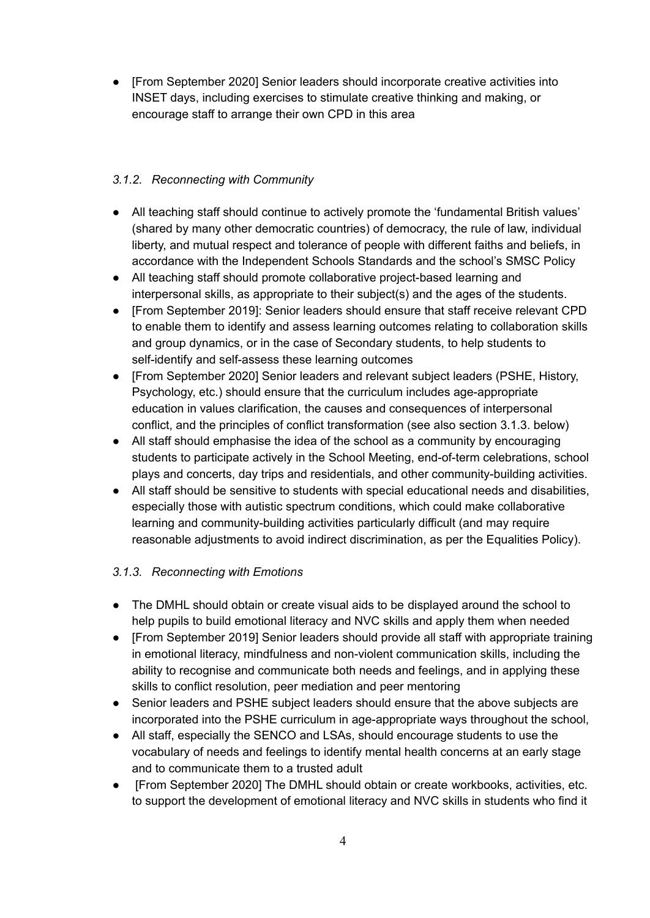● [From September 2020] Senior leaders should incorporate creative activities into INSET days, including exercises to stimulate creative thinking and making, or encourage staff to arrange their own CPD in this area

## *3.1.2. Reconnecting with Community*

- All teaching staff should continue to actively promote the 'fundamental British values' (shared by many other democratic countries) of democracy, the rule of law, individual liberty, and mutual respect and tolerance of people with different faiths and beliefs, in accordance with the Independent Schools Standards and the school's SMSC Policy
- All teaching staff should promote collaborative project-based learning and interpersonal skills, as appropriate to their subject(s) and the ages of the students.
- [From September 2019]: Senior leaders should ensure that staff receive relevant CPD to enable them to identify and assess learning outcomes relating to collaboration skills and group dynamics, or in the case of Secondary students, to help students to self-identify and self-assess these learning outcomes
- [From September 2020] Senior leaders and relevant subject leaders (PSHE, History, Psychology, etc.) should ensure that the curriculum includes age-appropriate education in values clarification, the causes and consequences of interpersonal conflict, and the principles of conflict transformation (see also section 3.1.3. below)
- All staff should emphasise the idea of the school as a community by encouraging students to participate actively in the School Meeting, end-of-term celebrations, school plays and concerts, day trips and residentials, and other community-building activities.
- All staff should be sensitive to students with special educational needs and disabilities, especially those with autistic spectrum conditions, which could make collaborative learning and community-building activities particularly difficult (and may require reasonable adjustments to avoid indirect discrimination, as per the Equalities Policy).

## *3.1.3. Reconnecting with Emotions*

- The DMHL should obtain or create visual aids to be displayed around the school to help pupils to build emotional literacy and NVC skills and apply them when needed
- [From September 2019] Senior leaders should provide all staff with appropriate training in emotional literacy, mindfulness and non-violent communication skills, including the ability to recognise and communicate both needs and feelings, and in applying these skills to conflict resolution, peer mediation and peer mentoring
- Senior leaders and PSHE subject leaders should ensure that the above subjects are incorporated into the PSHE curriculum in age-appropriate ways throughout the school,
- All staff, especially the SENCO and LSAs, should encourage students to use the vocabulary of needs and feelings to identify mental health concerns at an early stage and to communicate them to a trusted adult
- [From September 2020] The DMHL should obtain or create workbooks, activities, etc. to support the development of emotional literacy and NVC skills in students who find it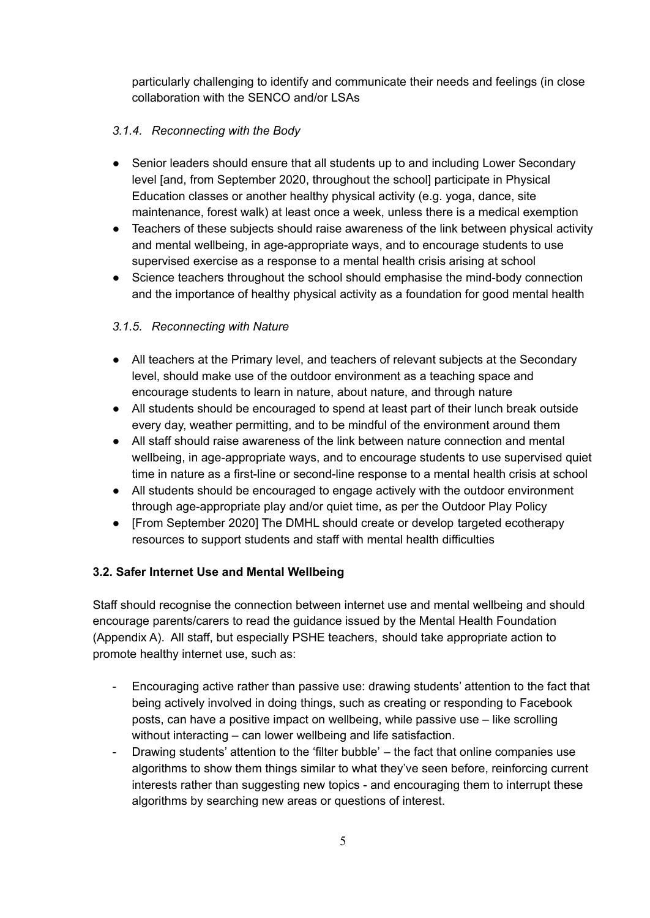particularly challenging to identify and communicate their needs and feelings (in close collaboration with the SENCO and/or LSAs

## *3.1.4. Reconnecting with the Body*

- Senior leaders should ensure that all students up to and including Lower Secondary level [and, from September 2020, throughout the school] participate in Physical Education classes or another healthy physical activity (e.g. yoga, dance, site maintenance, forest walk) at least once a week, unless there is a medical exemption
- Teachers of these subjects should raise awareness of the link between physical activity and mental wellbeing, in age-appropriate ways, and to encourage students to use supervised exercise as a response to a mental health crisis arising at school
- Science teachers throughout the school should emphasise the mind-body connection and the importance of healthy physical activity as a foundation for good mental health

## *3.1.5. Reconnecting with Nature*

- All teachers at the Primary level, and teachers of relevant subjects at the Secondary level, should make use of the outdoor environment as a teaching space and encourage students to learn in nature, about nature, and through nature
- All students should be encouraged to spend at least part of their lunch break outside every day, weather permitting, and to be mindful of the environment around them
- All staff should raise awareness of the link between nature connection and mental wellbeing, in age-appropriate ways, and to encourage students to use supervised quiet time in nature as a first-line or second-line response to a mental health crisis at school
- All students should be encouraged to engage actively with the outdoor environment through age-appropriate play and/or quiet time, as per the Outdoor Play Policy
- [From September 2020] The DMHL should create or develop targeted ecotherapy resources to support students and staff with mental health difficulties

## **3.2. Safer Internet Use and Mental Wellbeing**

Staff should recognise the connection between internet use and mental wellbeing and should encourage parents/carers to read the guidance issued by the Mental Health Foundation (Appendix A). All staff, but especially PSHE teachers, should take appropriate action to promote healthy internet use, such as:

- Encouraging active rather than passive use: drawing students' attention to the fact that being actively involved in doing things, such as creating or responding to Facebook posts, can have a positive impact on wellbeing, while passive use – like scrolling without interacting – can lower wellbeing and life satisfaction.
- Drawing students' attention to the 'filter bubble' the fact that online companies use algorithms to show them things similar to what they've seen before, reinforcing current interests rather than suggesting new topics - and encouraging them to interrupt these algorithms by searching new areas or questions of interest.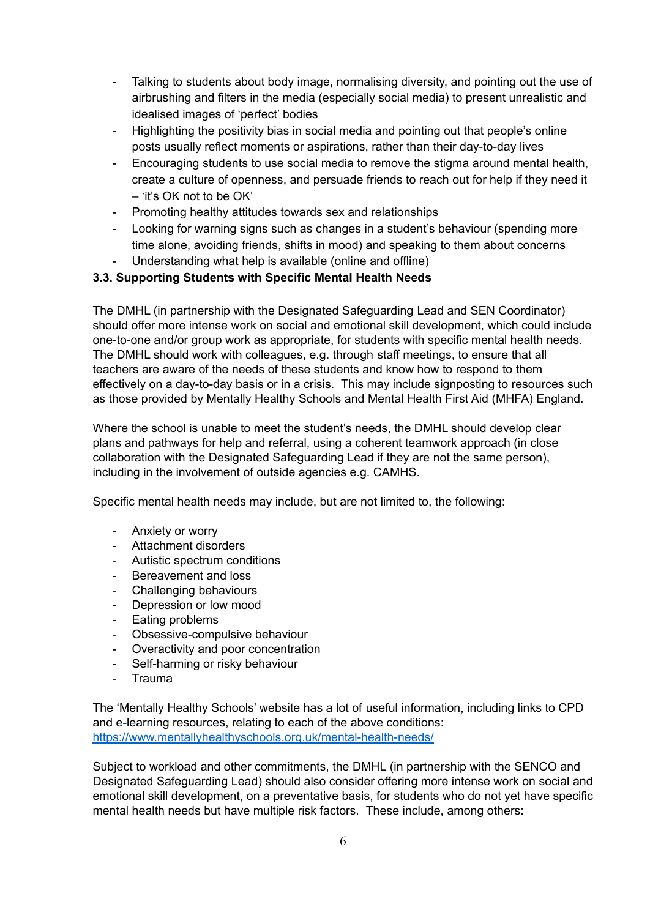- Talking to students about body image, normalising diversity, and pointing out the use of airbrushing and filters in the media (especially social media) to present unrealistic and idealised images of 'perfect' bodies
- Highlighting the positivity bias in social media and pointing out that people's online posts usually reflect moments or aspirations, rather than their day-to-day lives
- Encouraging students to use social media to remove the stigma around mental health, create a culture of openness, and persuade friends to reach out for help if they need it – 'it's OK not to be OK'
- Promoting healthy attitudes towards sex and relationships
- Looking for warning signs such as changes in a student's behaviour (spending more time alone, avoiding friends, shifts in mood) and speaking to them about concerns
- Understanding what help is available (online and offline)

#### **3.3. Supporting Students with Specific Mental Health Needs**

The DMHL (in partnership with the Designated Safeguarding Lead and SEN Coordinator) should offer more intense work on social and emotional skill development, which could include one-to-one and/or group work as appropriate, for students with specific mental health needs. The DMHL should work with colleagues, e.g. through staff meetings, to ensure that all teachers are aware of the needs of these students and know how to respond to them effectively on a day-to-day basis or in a crisis. This may include signposting to resources such as those provided by Mentally Healthy Schools and Mental Health First Aid (MHFA) England.

Where the school is unable to meet the student's needs, the DMHL should develop clear plans and pathways for help and referral, using a coherent teamwork approach (in close collaboration with the Designated Safeguarding Lead if they are not the same person), including in the involvement of outside agencies e.g. CAMHS.

Specific mental health needs may include, but are not limited to, the following:

- Anxiety or worry
- Attachment disorders
- Autistic spectrum conditions
- Bereavement and loss
- Challenging behaviours
- Depression or low mood
- Eating problems
- Obsessive-compulsive behaviour
- Overactivity and poor concentration
- Self-harming or risky behaviour
- Trauma

The 'Mentally Healthy Schools' website has a lot of useful information, including links to CPD and e-learning resources, relating to each of the above conditions: <https://www.mentallyhealthyschools.org.uk/mental-health-needs/>

Subject to workload and other commitments, the DMHL (in partnership with the SENCO and Designated Safeguarding Lead) should also consider offering more intense work on social and emotional skill development, on a preventative basis, for students who do not yet have specific mental health needs but have multiple risk factors. These include, among others: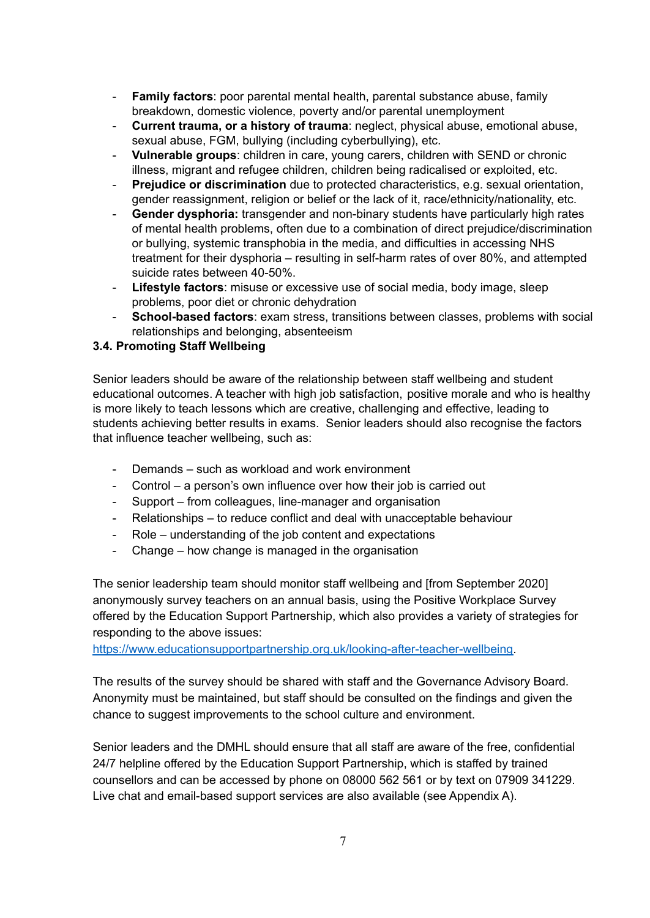- **Family factors**: poor parental mental health, parental substance abuse, family breakdown, domestic violence, poverty and/or parental unemployment
- **Current trauma, or a history of trauma**: neglect, physical abuse, emotional abuse, sexual abuse, FGM, bullying (including cyberbullying), etc.
- **Vulnerable groups**: children in care, young carers, children with SEND or chronic illness, migrant and refugee children, children being radicalised or exploited, etc.
- **Prejudice or discrimination** due to protected characteristics, e.g. sexual orientation, gender reassignment, religion or belief or the lack of it, race/ethnicity/nationality, etc.
- **Gender dysphoria:** transgender and non-binary students have particularly high rates of mental health problems, often due to a combination of direct prejudice/discrimination or bullying, systemic transphobia in the media, and difficulties in accessing NHS treatment for their dysphoria – resulting in self-harm rates of over 80%, and attempted suicide rates between 40-50%.
- **Lifestyle factors**: misuse or excessive use of social media, body image, sleep problems, poor diet or chronic dehydration
- **School-based factors**: exam stress, transitions between classes, problems with social relationships and belonging, absenteeism

#### **3.4. Promoting Staff Wellbeing**

Senior leaders should be aware of the relationship between staff wellbeing and student educational outcomes. A teacher with high job satisfaction, positive morale and who is healthy is more likely to teach lessons which are creative, challenging and effective, leading to students achieving better results in exams. Senior leaders should also recognise the factors that influence teacher wellbeing, such as:

- Demands such as workload and work environment
- Control a person's own influence over how their job is carried out
- Support from colleagues, line-manager and organisation
- Relationships to reduce conflict and deal with unacceptable behaviour
- Role understanding of the job content and expectations
- Change how change is managed in the organisation

The senior leadership team should monitor staff wellbeing and [from September 2020] anonymously survey teachers on an annual basis, using the Positive Workplace Survey offered by the Education Support Partnership, which also provides a variety of strategies for responding to the above issues:

[https://www.educationsupportpartnership.org.uk/looking-after-teacher-wellbeing.](https://www.educationsupportpartnership.org.uk/looking-after-teacher-wellbeing)

The results of the survey should be shared with staff and the Governance Advisory Board. Anonymity must be maintained, but staff should be consulted on the findings and given the chance to suggest improvements to the school culture and environment.

Senior leaders and the DMHL should ensure that all staff are aware of the free, confidential 24/7 helpline offered by the Education Support Partnership, which is staffed by trained counsellors and can be accessed by phone on 08000 562 561 or by text on 07909 341229. Live chat and email-based support services are also available (see Appendix A).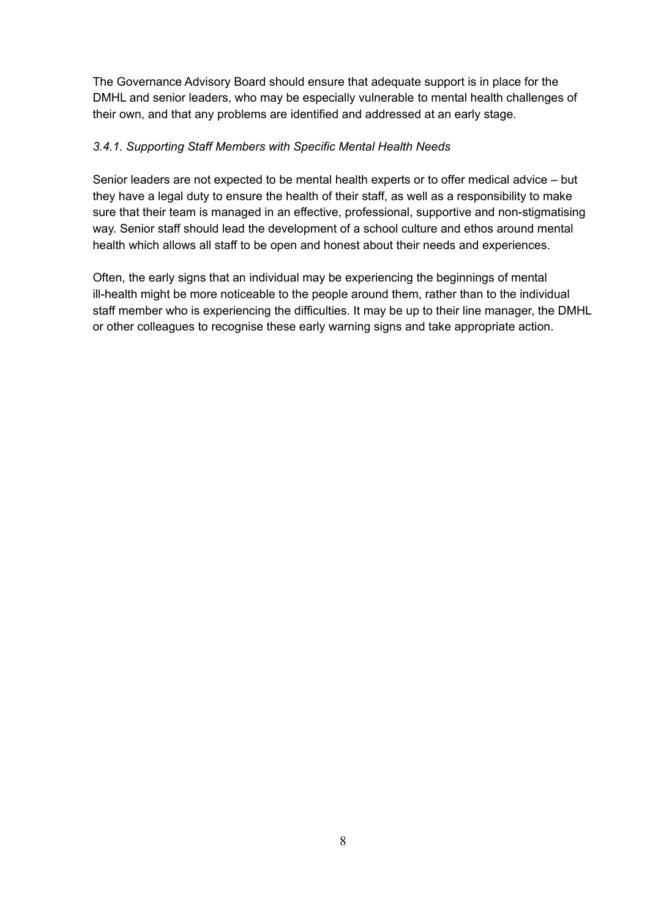The Governance Advisory Board should ensure that adequate support is in place for the DMHL and senior leaders, who may be especially vulnerable to mental health challenges of their own, and that any problems are identified and addressed at an early stage.

## *3.4.1. Supporting Staff Members with Specific Mental Health Needs*

Senior leaders are not expected to be mental health experts or to offer medical advice – but they have a legal duty to ensure the health of their staff, as well as a responsibility to make sure that their team is managed in an effective, professional, supportive and non-stigmatising way. Senior staff should lead the development of a school culture and ethos around mental health which allows all staff to be open and honest about their needs and experiences.

Often, the early signs that an individual may be experiencing the beginnings of mental ill-health might be more noticeable to the people around them, rather than to the individual staff member who is experiencing the difficulties. It may be up to their line manager, the DMHL or other colleagues to recognise these early warning signs and take appropriate action.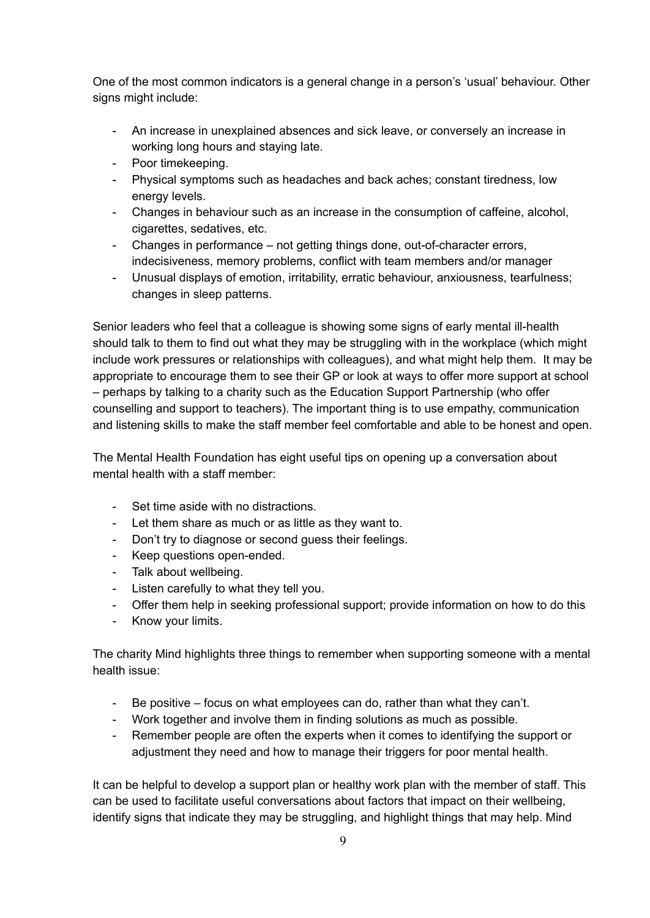One of the most common indicators is a general change in a person's 'usual' behaviour. Other signs might include:

- An increase in unexplained absences and sick leave, or conversely an increase in working long hours and staying late.
- Poor timekeeping.
- Physical symptoms such as headaches and back aches; constant tiredness, low energy levels.
- Changes in behaviour such as an increase in the consumption of caffeine, alcohol, cigarettes, sedatives, etc.
- Changes in performance not getting things done, out-of-character errors, indecisiveness, memory problems, conflict with team members and/or manager
- Unusual displays of emotion, irritability, erratic behaviour, anxiousness, tearfulness; changes in sleep patterns.

Senior leaders who feel that a colleague is showing some signs of early mental ill-health should talk to them to find out what they may be struggling with in the workplace (which might include work pressures or relationships with colleagues), and what might help them. It may be appropriate to encourage them to see their GP or look at ways to offer more support at school – perhaps by talking to a charity such as the Education Support Partnership (who offer counselling and support to teachers). The important thing is to use empathy, communication and listening skills to make the staff member feel comfortable and able to be honest and open.

The Mental Health Foundation has eight useful tips on opening up a conversation about mental health with a staff member:

- Set time aside with no distractions.
- Let them share as much or as little as they want to.
- Don't try to diagnose or second guess their feelings.
- Keep questions open-ended.
- Talk about wellbeing.
- Listen carefully to what they tell you.
- Offer them help in seeking professional support; provide information on how to do this
- Know your limits.

The charity Mind highlights three things to remember when supporting someone with a mental health issue:

- Be positive focus on what employees can do, rather than what they can't.
- Work together and involve them in finding solutions as much as possible.
- Remember people are often the experts when it comes to identifying the support or adjustment they need and how to manage their triggers for poor mental health.

It can be helpful to develop a support plan or healthy work plan with the member of staff. This can be used to facilitate useful conversations about factors that impact on their wellbeing, identify signs that indicate they may be struggling, and highlight things that may help. Mind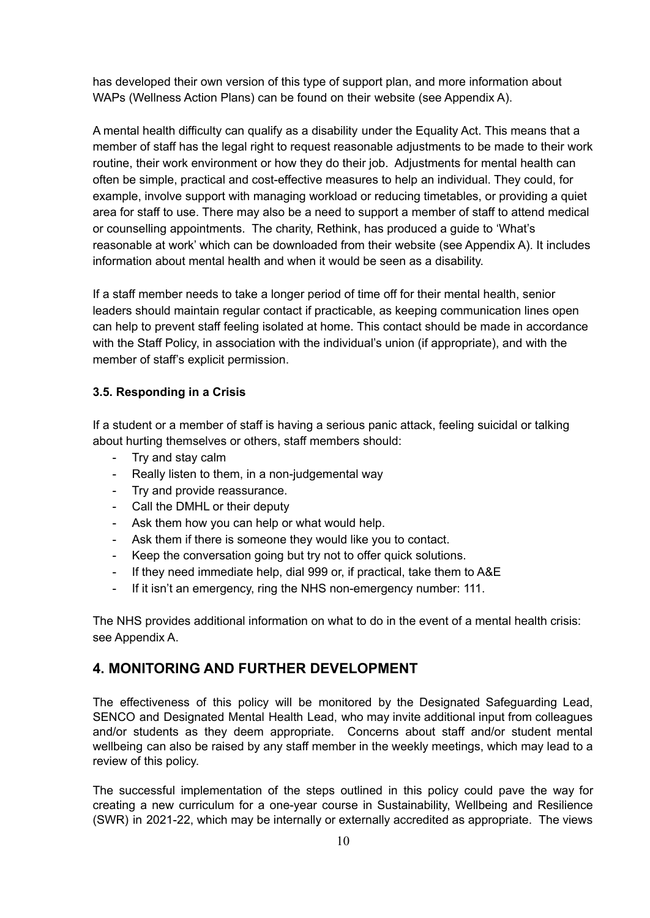has developed their own version of this type of support plan, and more information about WAPs (Wellness Action Plans) can be found on their website (see Appendix A).

A mental health difficulty can qualify as a disability under the Equality Act. This means that a member of staff has the legal right to request reasonable adjustments to be made to their work routine, their work environment or how they do their job. Adjustments for mental health can often be simple, practical and cost-effective measures to help an individual. They could, for example, involve support with managing workload or reducing timetables, or providing a quiet area for staff to use. There may also be a need to support a member of staff to attend medical or counselling appointments. The charity, Rethink, has produced a guide to 'What's reasonable at work' which can be downloaded from their website (see Appendix A). It includes information about mental health and when it would be seen as a disability.

If a staff member needs to take a longer period of time off for their mental health, senior leaders should maintain regular contact if practicable, as keeping communication lines open can help to prevent staff feeling isolated at home. This contact should be made in accordance with the Staff Policy, in association with the individual's union (if appropriate), and with the member of staff's explicit permission.

#### **3.5. Responding in a Crisis**

If a student or a member of staff is having a serious panic attack, feeling suicidal or talking about hurting themselves or others, staff members should:

- Try and stay calm
- Really listen to them, in a non-judgemental way
- Try and provide reassurance.
- Call the DMHL or their deputy
- Ask them how you can help or what would help.
- Ask them if there is someone they would like you to contact.
- Keep the conversation going but try not to offer quick solutions.
- If they need immediate help, dial 999 or, if practical, take them to A&E
- If it isn't an emergency, ring the NHS non-emergency number: 111.

The NHS provides additional information on what to do in the event of a mental health crisis: see Appendix A.

# **4. MONITORING AND FURTHER DEVELOPMENT**

The effectiveness of this policy will be monitored by the Designated Safeguarding Lead, SENCO and Designated Mental Health Lead, who may invite additional input from colleagues and/or students as they deem appropriate. Concerns about staff and/or student mental wellbeing can also be raised by any staff member in the weekly meetings, which may lead to a review of this policy.

The successful implementation of the steps outlined in this policy could pave the way for creating a new curriculum for a one-year course in Sustainability, Wellbeing and Resilience (SWR) in 2021-22, which may be internally or externally accredited as appropriate. The views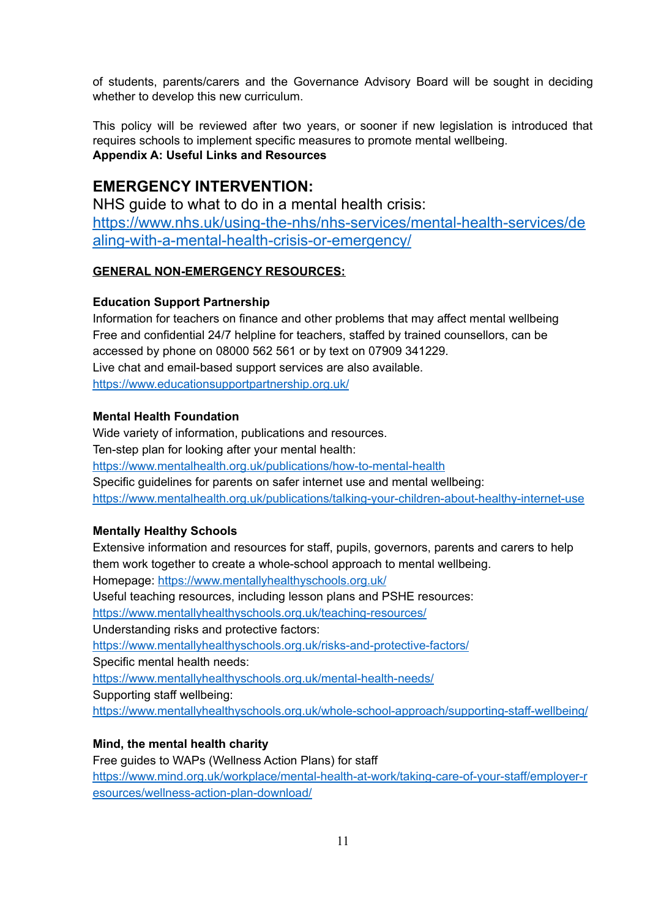of students, parents/carers and the Governance Advisory Board will be sought in deciding whether to develop this new curriculum.

This policy will be reviewed after two years, or sooner if new legislation is introduced that requires schools to implement specific measures to promote mental wellbeing. **Appendix A: Useful Links and Resources**

# **EMERGENCY INTERVENTION:**

NHS guide to what to do in a mental health crisis: [https://www.nhs.uk/using-the-nhs/nhs-services/mental-health-services/de](https://www.nhs.uk/using-the-nhs/nhs-services/mental-health-services/dealing-with-a-mental-health-crisis-or-emergency/) [aling-with-a-mental-health-crisis-or-emergency/](https://www.nhs.uk/using-the-nhs/nhs-services/mental-health-services/dealing-with-a-mental-health-crisis-or-emergency/)

## **GENERAL NON-EMERGENCY RESOURCES:**

#### **Education Support Partnership**

Information for teachers on finance and other problems that may affect mental wellbeing Free and confidential 24/7 helpline for teachers, staffed by trained counsellors, can be accessed by phone on 08000 562 561 or by text on 07909 341229. Live chat and email-based support services are also available. <https://www.educationsupportpartnership.org.uk/>

#### **Mental Health Foundation**

Wide variety of information, publications and resources. Ten-step plan for looking after your mental health: <https://www.mentalhealth.org.uk/publications/how-to-mental-health> Specific guidelines for parents on safer internet use and mental wellbeing: <https://www.mentalhealth.org.uk/publications/talking-your-children-about-healthy-internet-use>

#### **Mentally Healthy Schools**

Extensive information and resources for staff, pupils, governors, parents and carers to help them work together to create a whole-school approach to mental wellbeing. Homepage: <https://www.mentallyhealthyschools.org.uk/> Useful teaching resources, including lesson plans and PSHE resources: <https://www.mentallyhealthyschools.org.uk/teaching-resources/> Understanding risks and protective factors: <https://www.mentallyhealthyschools.org.uk/risks-and-protective-factors/> Specific mental health needs: <https://www.mentallyhealthyschools.org.uk/mental-health-needs/> Supporting staff wellbeing: <https://www.mentallyhealthyschools.org.uk/whole-school-approach/supporting-staff-wellbeing/>

## **Mind, the mental health charity**

Free guides to WAPs (Wellness Action Plans) for staff [https://www.mind.org.uk/workplace/mental-health-at-work/taking-care-of-your-staff/employer-r](https://www.mind.org.uk/workplace/mental-health-at-work/taking-care-of-your-staff/employer-resources/wellness-action-plan-download/) [esources/wellness-action-plan-download/](https://www.mind.org.uk/workplace/mental-health-at-work/taking-care-of-your-staff/employer-resources/wellness-action-plan-download/)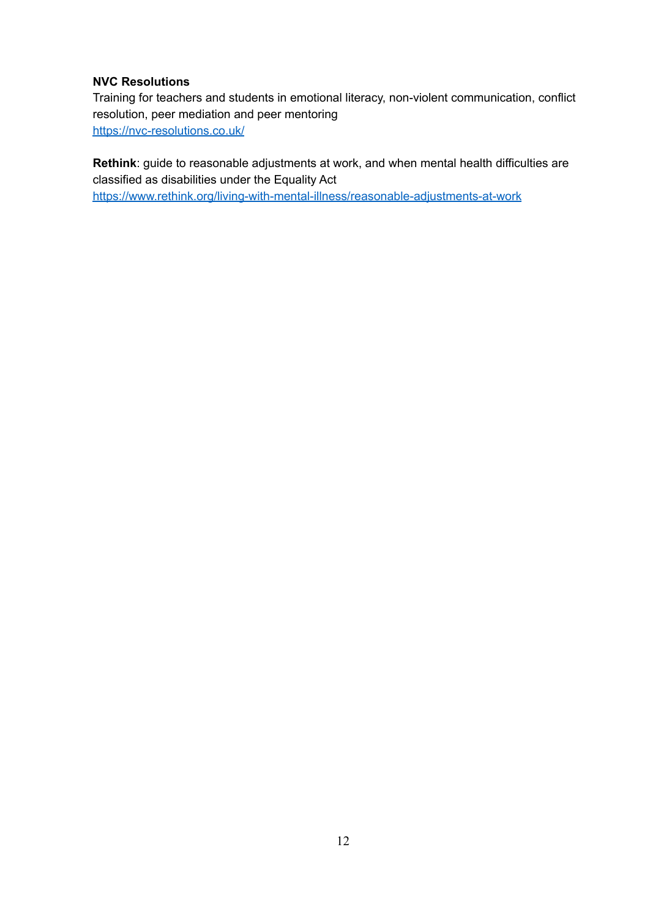## **NVC Resolutions**

Training for teachers and students in emotional literacy, non-violent communication, conflict resolution, peer mediation and peer mentoring <https://nvc-resolutions.co.uk/>

**Rethink**: guide to reasonable adjustments at work, and when mental health difficulties are classified as disabilities under the Equality Act [https://www.rethink.org/living-with-mental-illness/reasonable-adjustments-at-work](https://www.rethink.org/living-with-mental-illness/reasonable-adjustments-at-workMENTAL)